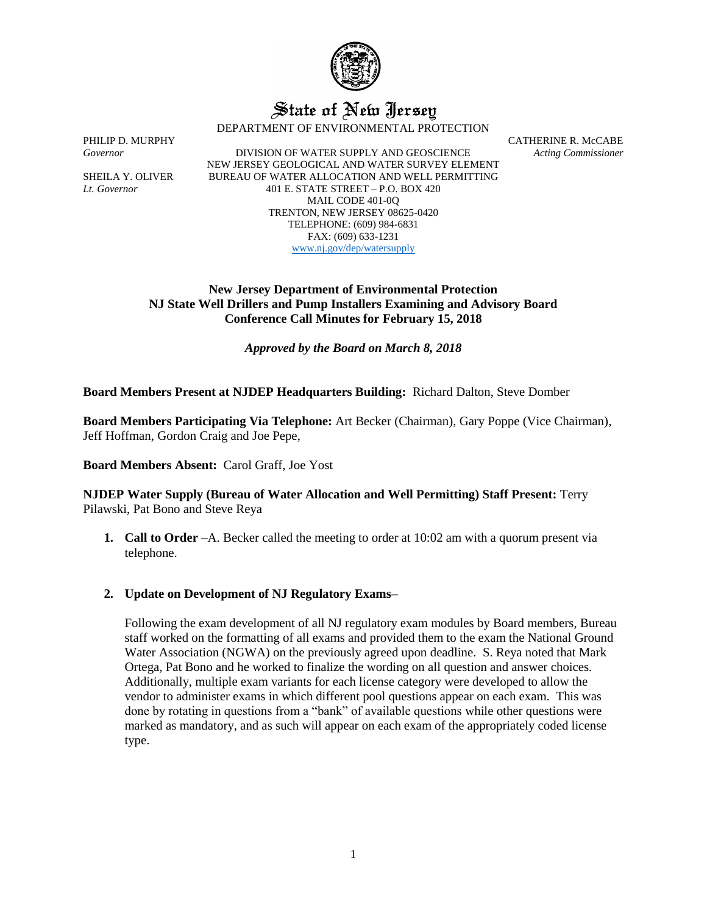

# State of New Jersey

DEPARTMENT OF ENVIRONMENTAL PROTECTION

*Governor* DIVISION OF WATER SUPPLY AND GEOSCIENCE *Acting Commissioner* NEW JERSEY GEOLOGICAL AND WATER SURVEY ELEMENT SHEILA Y. OLIVER BUREAU OF WATER ALLOCATION AND WELL PERMITTING *Lt. Governor* 401 E. STATE STREET – P.O. BOX 420 MAIL CODE 401-0Q TRENTON, NEW JERSEY 08625-0420 TELEPHONE: (609) 984-6831 FAX: (609) 633-1231 [www.nj.gov/dep/watersupply](http://www.nj.gov/dep/watersupply)

PHILIP D. MURPHY CATHERINE R. McCABE

# **New Jersey Department of Environmental Protection NJ State Well Drillers and Pump Installers Examining and Advisory Board Conference Call Minutes for February 15, 2018**

*Approved by the Board on March 8, 2018*

# **Board Members Present at NJDEP Headquarters Building:** Richard Dalton, Steve Domber

**Board Members Participating Via Telephone:** Art Becker (Chairman), Gary Poppe (Vice Chairman), Jeff Hoffman, Gordon Craig and Joe Pepe,

**Board Members Absent:** Carol Graff, Joe Yost

## **NJDEP Water Supply (Bureau of Water Allocation and Well Permitting) Staff Present:** Terry Pilawski, Pat Bono and Steve Reya

**1. Call to Order –**A. Becker called the meeting to order at 10:02 am with a quorum present via telephone.

# **2. Update on Development of NJ Regulatory Exams–**

Following the exam development of all NJ regulatory exam modules by Board members, Bureau staff worked on the formatting of all exams and provided them to the exam the National Ground Water Association (NGWA) on the previously agreed upon deadline. S. Reya noted that Mark Ortega, Pat Bono and he worked to finalize the wording on all question and answer choices. Additionally, multiple exam variants for each license category were developed to allow the vendor to administer exams in which different pool questions appear on each exam. This was done by rotating in questions from a "bank" of available questions while other questions were marked as mandatory, and as such will appear on each exam of the appropriately coded license type.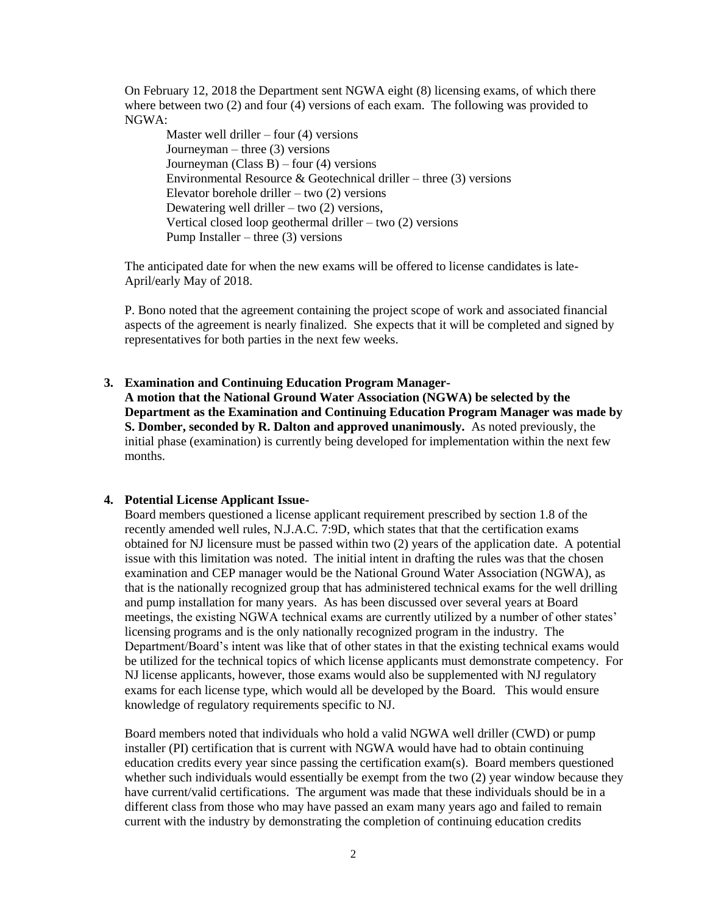On February 12, 2018 the Department sent NGWA eight (8) licensing exams, of which there where between two (2) and four (4) versions of each exam. The following was provided to NGWA:

Master well driller – four  $(4)$  versions Journeyman – three  $(3)$  versions Journeyman (Class B) – four (4) versions Environmental Resource & Geotechnical driller – three  $(3)$  versions Elevator borehole driller – two (2) versions Dewatering well driller – two (2) versions, Vertical closed loop geothermal driller – two (2) versions Pump Installer – three  $(3)$  versions

The anticipated date for when the new exams will be offered to license candidates is late-April/early May of 2018.

P. Bono noted that the agreement containing the project scope of work and associated financial aspects of the agreement is nearly finalized. She expects that it will be completed and signed by representatives for both parties in the next few weeks.

### **3. Examination and Continuing Education Program Manager-**

**A motion that the National Ground Water Association (NGWA) be selected by the Department as the Examination and Continuing Education Program Manager was made by S. Domber, seconded by R. Dalton and approved unanimously.** As noted previously, the initial phase (examination) is currently being developed for implementation within the next few months.

### **4. Potential License Applicant Issue-**

Board members questioned a license applicant requirement prescribed by section 1.8 of the recently amended well rules, N.J.A.C. 7:9D, which states that that the certification exams obtained for NJ licensure must be passed within two (2) years of the application date. A potential issue with this limitation was noted. The initial intent in drafting the rules was that the chosen examination and CEP manager would be the National Ground Water Association (NGWA), as that is the nationally recognized group that has administered technical exams for the well drilling and pump installation for many years. As has been discussed over several years at Board meetings, the existing NGWA technical exams are currently utilized by a number of other states' licensing programs and is the only nationally recognized program in the industry. The Department/Board's intent was like that of other states in that the existing technical exams would be utilized for the technical topics of which license applicants must demonstrate competency. For NJ license applicants, however, those exams would also be supplemented with NJ regulatory exams for each license type, which would all be developed by the Board. This would ensure knowledge of regulatory requirements specific to NJ.

Board members noted that individuals who hold a valid NGWA well driller (CWD) or pump installer (PI) certification that is current with NGWA would have had to obtain continuing education credits every year since passing the certification exam(s). Board members questioned whether such individuals would essentially be exempt from the two (2) year window because they have current/valid certifications. The argument was made that these individuals should be in a different class from those who may have passed an exam many years ago and failed to remain current with the industry by demonstrating the completion of continuing education credits